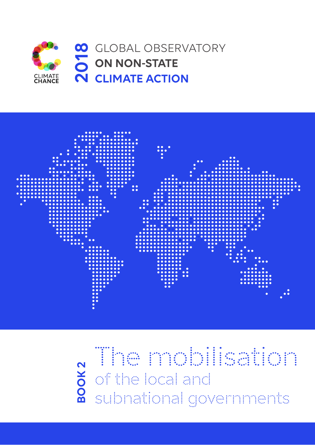



The mobilisation is a mobilisation of the local and subnational governments

# **BOOK 2**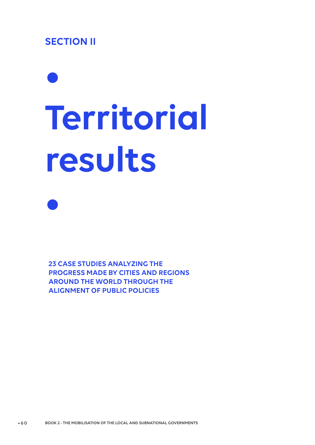# **SECTION II**

**•**

# **• Territorial results**

**23 CASE STUDIES ANALYZING THE PROGRESS MADE BY CITIES AND REGIONS AROUND THE WORLD THROUGH THE ALIGNMENT OF PUBLIC POLICIES**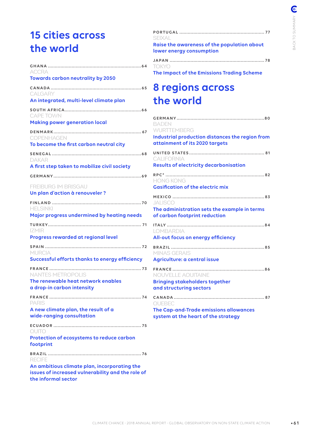# **15 cities across the world**

| ACCRA                                                                                                                    |
|--------------------------------------------------------------------------------------------------------------------------|
| <b>Towards carbon neutrality by 2050</b>                                                                                 |
| CALGARY<br>An integrated, multi-level climate plan                                                                       |
| <b>CAPE TOWN</b>                                                                                                         |
| <b>Making power generation local</b>                                                                                     |
| <b>COPENHAGEN</b>                                                                                                        |
| To become the first carbon neutral city                                                                                  |
| DAKAR<br>A first step taken to mobilize civil society                                                                    |
|                                                                                                                          |
| <b>FREIBURG IM BRISGAU</b><br>Un plan d'action à renouveler ?                                                            |
|                                                                                                                          |
| <b>HELSINKI</b><br>Major progress undermined by heating needs                                                            |
|                                                                                                                          |
| IZMIR<br>Progress rewarded at regional level                                                                             |
|                                                                                                                          |
| <b>MURCIA</b><br>Successful efforts thanks to energy efficiency                                                          |
| <b>FRANCE</b><br><b>NANTES METROPOLIS</b>                                                                                |
| The renewable heat network enables<br>a drop-in carbon intensity                                                         |
| PARIS                                                                                                                    |
| A new climate plan, the result of a<br>wide-ranging consultation                                                         |
| QUITO                                                                                                                    |
| Protection of ecosystems to reduce carbon<br>footprint                                                                   |
| <b>RECIFE</b>                                                                                                            |
| An ambitious climate plan, incorporating the<br>issues of increased vulnerability and the role of<br>the informal sector |

| SFIXALI                                                                 |  |
|-------------------------------------------------------------------------|--|
| Raise the awareness of the population about<br>lower energy consumption |  |
| TOKYO.                                                                  |  |

**The Impact of the Emissions Trading Scheme** 

# **8 regions across the world**

| BADEN<br>WURTTEMBERG                                                                            |
|-------------------------------------------------------------------------------------------------|
| Industrial production distances the region from<br>attainment of its 2020 targets               |
| CALIFORNIA<br><b>Results of electricity decarbonisation</b>                                     |
| <b>HONG KONG</b><br><b>Gasification of the electric mix</b>                                     |
| <b>JALISCO</b><br>The administration sets the example in terms<br>of carbon footprint reduction |
| <b>LOMBARDIA</b><br>All-out focus on energy efficiency                                          |
| MINAS GERAIS<br>Agriculture: a central issue                                                    |
| NOUVELLE AQUITAINE<br><b>Bringing stakeholders together</b><br>and structuring sectors          |
| QUEBEC<br>The Cap-and-Trade emissions allowances<br>system at the heart of the strategy         |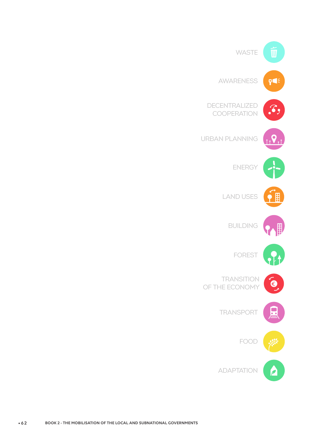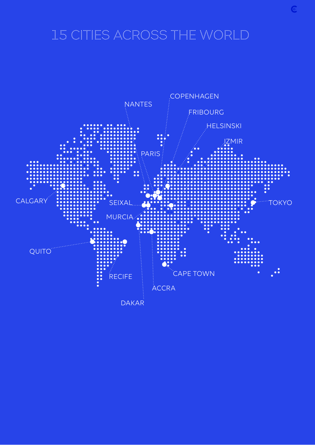# 15 CITIES ACROSS THE WORLD

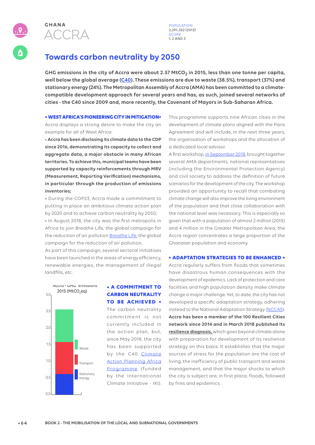

**POPULATION** 2,291,352 (2013) **SCOPE** 1, 2 AND 3

# **Towards carbon neutrality by 2050**

**GHG emissions in the city of Accra were about 2.57 MtCO2 in 2015, less than one tonne per capita, well below the global average (C40). These emissions are due to waste (38.5%), transport (37%) and stationary energy (24%). The Metropolitan Assembly of Accra (AMA) has been committed to a climatecompatible development approach for several years and has, as such, joined several networks of cities - the C40 since 2009 and, more recently, the Covenant of Mayors in Sub-Saharan Africa.**

### **• WEST AFRICA'S PIONEERING CITY IN MITIGATION•**

Accra displays a strong desire to make the city an example for all of West Africa:

• **Accra has been disclosing its climate data to the CDP since 2016, demonstrating its capacity to collect and aggregate data, a major obstacle in many African territories. To achieve this, municipal teams have been supported by capacity reinforcements through MRV (Measurement, Reporting Verification) mechanisms, in particular through the production of emissions inventories;**

• During the COP23, Accra made a commitment to putting in place an ambitious climate action plan by 2020 and to achieve carbon neutrality by 2050;

• In August 2018, the city was the first metropolis in Africa to join Breathe Life, the global campaign for the reduction of air pollution Breathe Life, the global campaign for the reduction of air pollution.

As part of this campaign, several sectoral initiatives have been launched in the areas of energy efficiency, renewable energies, the management of illegal landfills, etc.



## **• A COMMITMENT TO CARBON NEUTRALITY TO BE ACHIEVED •**

The carbon neutrality commitment is not currently included in the action plan, but, since May 2018, the city has been supported by the C40 Climate Action Planning Africa Programme (funded by the International Climate Initiative - IKI).

This programme supports nine African cities in the development of climate plans aligned with the Paris Agreement and will include, in the next three years, the organisation of workshops and the allocation of a dedicated local advisor.

A first workshop, in September 2018, brought together several AMA departments, national representatives (including the Environmental Protection Agency) and civil society to address the definition of future scenarios for the development of the city. The workshop provided an opportunity to recall that combating climate change will also improve the living environment of the population and that close collaboration with the national level was necessary. This is especially so given that with a population of almost 2 million (2015) and 4 million in the Greater Metropolitan Area, the Accra region concentrates a large proportion of the Ghanaian population and economy.

### **• ADAPTATION STRATEGIES TO BE ENHANCED •**

Accra regularly suffers from floods that sometimes have disastrous human consequences with the development of epidemics. Lack of protection and care facilities and high population density make climate change a major challenge. Yet, to date, the city has not developed a specific adaptation strategy, adhering instead to the National Adaptation Strategy (NCCAS). **Accra has been a member of the 100 Resilient Cities network since 2014 and in March 2018 published its resilience diagnosis,** which goes beyond climate alone with preparation for development of its resilience strategy on this basis. It establishes that the major sources of stress for the population are the cost of living, the inefficiency of public transport and waste management, and that the major shocks to which the city is subject are, in first place, floods, followed by fires and epidemics. .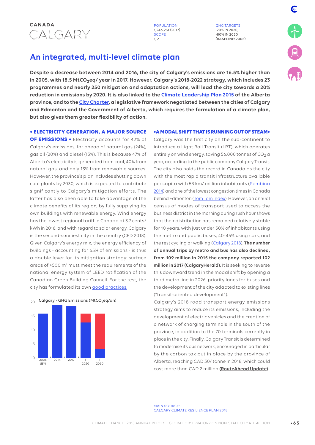

GHG TARGETS -20% IN 2020; -80% IN 2050 (BASELINE: 2005)

# **An integrated, multi-level climate plan**

**Despite a decrease between 2014 and 2016, the city of Calgary's emissions are 16.5% higher than in 2005, with 18.5 MtCO2eq/ year in 2017. However, Calgary's 2018-2022 strategy, which includes 23 programmes and nearly 250 mitigation and adaptation actions, will lead the city towards a 20% reduction in emissions by 2020. It is also linked to the Climate Leadership Plan 2015 of the Alberta province, and to the City Charter, a legislative framework negotiated between the cities of Calgary and Edmonton and the Government of Alberta, which requires the formulation of a climate plan, but also gives them greater flexibility of action.**

### **• ELECTRICITY GENERATION, A MAJOR SOURCE**

**OF EMISSIONS •** Electricity accounts for 42% of Calgary's emissions, far ahead of natural gas (24%), gas oil (20%) and diesel (13%). This is because 47% of Alberta's electricity is generated from coal, 40% from natural gas, and only 13% from renewable sources. However, the province's plan includes shutting down coal plants by 2030, which is expected to contribute significantly to Calgary's mitigation efforts. The latter has also been able to take advantage of the climate benefits of its region, by fully supplying its own buildings with renewable energy. Wind energy has the lowest regional tariff in Canada at 3.7 cents/ kWh in 2018, and with regard to solar energy, Calgary is the second-sunniest city in the country (CED 2018). Given Calgary's energy mix, the energy efficiency of buildings - accounting for 65% of emissions - is thus a double lever for its mitigation strategy: surface areas of +500 m² must meet the requirements of the national energy system of LEED ratification of the Canadian Green Building Council. For the rest, the city has formulated its own good practices.



### **•A MODAL SHIFT THAT IS RUNNING OUT OF STEAM•**

Calgary was the first city on the sub-continent to introduce a Light Rail Transit (LRT), which operates entirely on wind energy, saving 56,000 tonnes of  $CO<sub>2</sub>$  a year, according to the public company Calgary Transit. The city also holds the record in Canada as the city with the most rapid transit infrastructure available per capita with 53 km/ million inhabitants (Pembina 2014) and one of the lowest congestion times in Canada behind Edmonton (Tom Tom index). However, an annual census of modes of transport used to access the business district in the morning during rush hour shows that their distribution has remained relatively stable for 10 years, with just under 50% of inhabitants using the metro and public buses, 40-45% using cars, and the rest cycling or walking (Calgary 2018). **The number of annual trips by metro and bus has also declined, from 109 million in 2015 the company reported 102 million in 2017 (CalgaryHerald).** It is seeking to reverse this downward trend in the modal shift by opening a third metro line in 2026, priority lanes for buses and the development of the city adapted to existing lines ("transit-oriented development").

Calgary's 2018 road transport energy emissions strategy aims to reduce its emissions, including the development of electric vehicles and the creation of a network of charging terminals in the south of the province, in addition to the 70 terminals currently in place in the city. Finally, Calgary Transit is determined to modernise its bus network, encouraged in particular by the carbon tax put in place by the province of Alberta, reaching CAD 30/ tonne in 2018, which could cost more than CAD 2 million **(RouteAhead Update).** 

MAIN SOURCE: CALGARY CLIMATE RESILIENCE PLAN 2018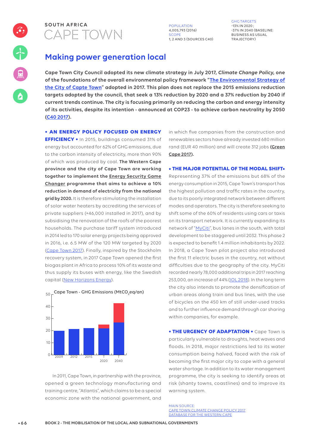

4,005,793 (2016) SCOPE 1, 2 AND 3 (SOURCES C40) GHG TARGETS  $-13\%$  IN 2020 $\cdot$ -37% IN 2040 (BASELINE: BUSINESS AS USUAL TRAJECTORY)

# **Making power generation local**

**Cape Town City Council adopted its new climate strategy in July 2017,** *Climate Change Policy***, one of the foundations of the overall environmental policy framework "The Environmental Strategy of the City of Capte Town" adopted in 2017. This plan does not replace the 2015 emissions reduction targets adopted by the council, that seek a 13% reduction by 2020 and a 37% reduction by 2040 if current trends continue. The city is focusing primarily on reducing the carbon and energy intensity of its activities, despite its intention - announced at COP23 - to achieve carbon neutrality by 2050 (C40 2017).**

**• AN ENERGY POLICY FOCUSED ON ENERGY** 

**EFFICIENCY •** In 2015, buildings consumed 31% of energy but accounted for 62% of GHG emissions, due to the carbon intensity of electricity, more than 90% of which was produced by coal. **The Western Cape province and the city of Cape Town are working together to implement the Energy Security Game Changer programme that aims to achieve a 10% reduction in demand of electricity from the national grid by 2020.** It is therefore stimulating the installation of solar water heaters by accrediting the services of private suppliers (+46,000 installed in 2017), and by subsidising the renovation of the roofs of the poorest households. The purchase tariff system introduced in 2014 led to 170 solar energy projects being approved in 2016, i.e. 6.5 MW of the 120 MW targeted by 2020 (Cape Town 2017). Finally, inspired by the Stockholm recovery system, in 2017 Cape Town opened the first biogas plant in Africa to process 10% of its waste and thus supply its buses with energy, like the Swedish capital (New Horizons Energy).



Cape Town - GHG Emissions (MtCO<sub>2</sub>eq/an)  $50$ 

In 2011, Cape Town, in partnership with the province, opened a green technology manufacturing and training centre, "Atlantis", which claims to be a special economic zone with the national government, and

in which five companies from the construction and renewables sectors have already invested 680 million rand (EUR 40 million) and will create 312 jobs **(Green Cape 2017).**

**• THE MAJOR POTENTIAL OF THE MODAL SHIFT•**

Representing 37% of the emissions but 68% of the energy consumption in 2015, Cape Town's transport has the highest pollution and traffic rates in the country, due to its poorly integrated network between different modes and operators. The city is therefore seeking to shift some of the 60% of residents using cars or taxis on its transport network. It is currently expanding its network of "MyCiti", bus lanes in the south, with total development to be staggered until 2032. This phase 2 is expected to benefit 1.4 million inhabitants by 2022. In 2018, a Cape Town pilot project also introduced the first 11 electric buses in the country, not without difficulties due to the geography of the city. MyCiti recorded nearly 78,000 additional trips in 2017 reaching 253,000, an increase of 44%(IOL 2018). In the long term the city also intends to promote the densification of urban areas along train and bus lines, with the use of bicycles on the 450 km of still under-used tracks and to further influence demand through car sharing within companies, for example.

**• THE URGENCY OF ADAPTATION •** Cape Town is particularly vulnerable to droughts, heat waves and floods. In 2018, major restrictions led to its water consumption being halved, faced with the risk of becoming the first major city to cope with a general water shortage. In addition to its water management programme, the city is seeking to identify areas at risk (shanty towns, coastlines) and to improve its warning system.

MAIN SOURCE: CAPE TOWN CLIMATE CHANGE POLICY 2017 DATABASE FOR THE WESTERN CAPE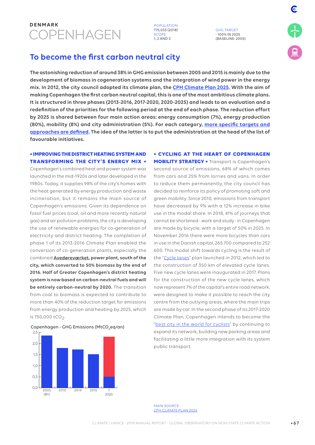

775,033 (2018) SCOPE 1, 2 AND 3

GHG TARGET - 100% IN 2025 (BASELINE: 2005)

# **To become the first carbon neutral city**

**The astonishing reduction of around 38% in GHG emission between 2005 and 2015 is mainly due to the development of biomass in cogeneration systems and the integration of wind power in the energy mix. In 2012, the city council adopted its climate plan, the CPH Climate Plan 2025. With the aim of making Copenhagen the first carbon neutral capital, this is one of the most ambitious climate plans. It is structured in three phases (2013-2016, 2017-2020, 2020-2025) and leads to an evaluation and a redefinition of the priorities for the following period at the end of each phase. The reduction effort by 2025 is shared between four main action areas: energy consumption (7%), energy production (80%), mobility (8%) and city administration (5%). For each category, more specific targets and approaches are defined. The idea of the latter is to put the administration at the head of the list of favourable initiatives.**

### **• IMPROVING THE DISTRICT HEATING SYSTEM AND TRANSFORMING THE CITY'S ENERGY MIX •**

Copenhagen's combined heat and power system was launched in the mid-1920s and later developed in the 1980s. Today, it supplies 98% of the city's homes with the heat generated by energy production and waste incineration, but it remains the main source of Copenhagen's emissions. Given its dependence on fossil fuel prices (coal, oil and more recently natural gas) and air pollution problems, the city is developing the use of renewable energies for co-generation of electricity and district heating. The completion of phase 1 of its 2013-2016 Climate Plan enabled the conversion of co-generation plants, especially the combined **Avedøreværket, power plant, south of the city, which converted to 50% biomass by the end of 2016. Half of Greater Copenhagen's district heating system is now based on carbon-neutral fuels and will be entirely carbon-neutral by 2020.** The transition from coal to biomass is expected to contribute to more than 40% of the reduction target for emissions from energy production and heating by 2025, which is 750,000 tCO<sub>2</sub>.



Copenhagen - GHG Emissions (MtCO<sub>2</sub>eq/an)

**• CYCLING AT THE HEART OF COPENHAGEN MOBILITY STRATEGY •** Transport is Copenhagen's

second source of emissions, 68% of which comes from cars and 25% from lorries and vans. In order to reduce them permanently, the city council has decided to reinforce its policy of promoting soft and green mobility. Since 2010, emissions from transport have decreased by 9% with a 12% increase in bike use in the modal share. In 2018, 41% of journeys that cannot be shortened - work and study - in Copenhagen are made by bicycle, with a target of 50% in 2025. In November 2016 there were more bicycles than cars in use in the Danish capital, 265 700 compared to 252 600. This modal shift towards cycling is the result of the "Cycle lanes" plan launched in 2012, which led to the construction of 350 km of elevated cycle lanes. Five new cycle lanes were inaugurated in 2017. Plans for the construction of the new cycle lanes, which now represent 7% of the capital's entire road network, were designed to make it possible to reach the city centre from the outlying areas, where the main trips are made by car. In the second phase of its 2017-2020 Climate Plan, Copenhagen intends to become the "best city in the world for cyclists" by continuing to expand its network, building new parking areas and facilitating a little more integration with its system public transport.

MAIN SOURCE: CPH CLIMATE PLAN 2025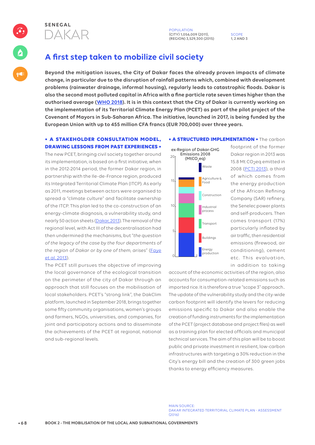

POPULATION (CITY) 1,056,009 (2011), (REGION) 3,529,300 (2015)

SCOPE 1, 2 AND 3

# **A first step taken to mobilize civil society**

**Beyond the mitigation issues, the City of Dakar faces the already proven impacts of climate change, in particular due to the disruption of rainfall patterns which, combined with development problems (rainwater drainage, informal housing), regularly leads to catastrophic floods. Dakar is also the second most polluted capital in Africa with a fine particle rate seven times higher than the authorised average (WHO 2018). It is in this context that the City of Dakar is currently working on the implementation of its Territorial Climate Energy Plan (PCET) as part of the pilot project of the Covenant of Mayors in Sub-Saharan Africa. The initiative, launched in 2017, is being funded by the European Union with up to 455 million CFA francs (EUR 700,000) over three years.** 

### **• A STAKEHOLDER CONSULTATION MODEL, DRAWING LESSONS FROM PAST EXPERIENCES •**

The new PCET, bringing civil society together around its implementation, is based on a first initiative, when in the 2012-2014 period, the former Dakar region, in partnership with the Ile-de-France region, produced its Integrated Territorial Climate Plan (ITCP). As early as 2011, meetings between actors were organised to spread a "climate culture" and facilitate ownership of the ITCP. This plan led to the co-construction of an energy-climate diagnosis, a vulnerability study, and nearly 50 action sheets (Dakar, 2013). The removal of the regional level, with Act III of the decentralisation had then undermined the mechanisms, but "*the question of the legacy of the case by the four departments of the region of Dakar or by one of them, arises*" (Faye et al. 2013).

The PCET still pursues the objective of improving the local governance of the ecological transition on the perimeter of the city of Dakar through an approach that still focuses on the mobilisation of local stakeholders. PCET's "strong link", the DakClim platform, launched in September 2018, brings together some fifty community organisations, women's groups and farmers, NGOs, universities, and companies, for joint and participatory actions and to disseminate the achievements of the PCET at regional, national and sub-regional levels.

### **• A STRUCTURED IMPLEMENTATION •** The carbon



footprint of the former Dakar region in 2013 was 15.8 Mt CO<sub>2</sub>eq emitted in 2008 (PCTI 2013), a third of which comes from the energy production of the African Refining Company (SAR) refinery, the Senelec power plants and self-producers. Then comes transport (17%) particularly inflated by air traffic, then residential emissions (firewood, air conditioning), cement etc. This evaluation, in addition to taking

account of the economic activities of the region, also accounts for consumption-related emissions such as imported rice. It is therefore a true "scope 3" approach.. The update of the vulnerability study and the city-wide carbon footprint will identify the levers for reducing emissions specific to Dakar and also enable the creation of funding instruments for the implementation of the PCET (project database and project files) as well as a training plan for elected officials and municipal technical services. The aim of this plan will be to boost public and private investment in resilient, low-carbon infrastructures with targeting a 30% reduction in the City's energy bill and the creation of 300 green jobs thanks to energy efficiency measures.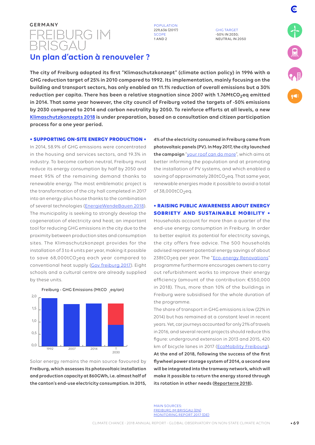# germany<br>FREIBURG IM **BRISGAU**

**POPULATION** 229,636 (2017) SCOPE 1 AND 2

GHG TARGET -50% IN 2030; NEUTRAL IN 2050

# **Un plan d'action à renouveler ?**

**The city of Freiburg adopted its first "Klimaschutzkonzept" (climate action policy) in 1996 with a GHG reduction target of 25% in 2010 compared to 1992. Its implementation, mainly focusing on the building and transport sectors, has only enabled an 11.1% reduction of overall emissions but a 30% reduction per capita. There has been a relative stagnation since 2007 with 1.76MtCO2eq emitted in 2014. That same year however, the city council of Freiburg voted the targets of -50% emissions by 2030 compared to 2014 and carbon neutrality by 2050. To reinforce efforts at all levels, a new Klimaschutzkonzepts 2018 is under preparation, based on a consultation and citizen participation process for a one year period.**

### **• SUPPORTING ON-SITE ENERGY PRODUCTION •**

In 2014, 58.9% of GHG emissions were concentrated in the housing and services sectors, and 19.3% in industry. To become carbon neutral, Freiburg must reduce its energy consumption by half by 2050 and meet 95% of the remaining demand thanks to renewable energy. The most emblematic project is the transformation of the city hall completed in 2017 into an energy-plus house thanks to the combination of several technologies (EnergieWendeBauen 2018). The municipality is seeking to strongly develop the cogeneration of electricity and heat; an important tool for reducing GHG emissions in the city due to the proximity between production sites and consumption sites. The Klimaschutzkonzept provides for the installation of 3 to 4 units per year, making it possible to save 68,000tCO<sub>2</sub>eq each year compared to conventional heat supply (Gov freiburg 2017). Eight schools and a cultural centre are already supplied by these units.





Solar energy remains the main source favoured by **Freiburg, which assesses its photovoltaic installation and production capacity at 860GWh, i.e. almost half of the canton's end-use electricity consumption. In 2015,** 

**4% of the electricity consumed in Freiburg came from photovoltaic panels (PV). In May 2017, the city launched the campaign** "your roof can do more", which aims at better informing the population and at promoting the installation of PV systems, and which enabled a saving of approximately  $280$ tCO<sub>2</sub>eq. That same year, renewable energies made it possible to avoid a total of 38,000tCO<sub>2</sub>eq.

### **• RAISING PUBLIC AWARENESS ABOUT ENERGY SOBRIETY AND SUSTAINABLE MOBILITY •**

Households account for more than a quarter of the end-use energy consumption in Freiburg. In order to better exploit its potential for electricity savings, the city offers free advice. The 500 households advised represent potential energy savings of about 238tCO<sub>2</sub>eq per year. The "Eco-energy Renovations" programme furthermore encourages owners to carry out refurbishment works to improve their energy efficiency (amount of the contribution: €550,000 in 2018). Thus, more than 10% of the buildings in Freiburg were subsidised for the whole duration of the programme.

The share of transport in GHG emissions is low (22% in 2014) but has remained at a constant level in recent years. Yet, car journeys accounted for only 21% of travels in 2016, and several recent projects should reduce this figure: underground extension in 2013 and 2015, 420 km of bicycle lanes in 2017 (EcoMobility Freibourg). **At the end of 2018, following the success of the first flywheel power storage system of 2014, a second one will be integrated into the tramway network, which will make it possible to return the energy stored through its rotation in other needs (Reporterre 2018).**

MAIN SOURCES: FREIBURG IM BRISGAU (EN) MONITORING REPORT 2017 (DE)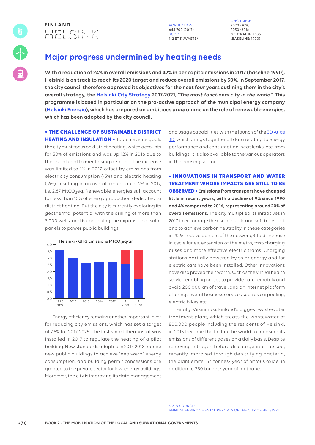

644,700 (2017) SCOP 1, 2 ET 3 (WASTE)

GHG TARGET 2020 -30%; 2030 -60%; NEUTRAL IN 2035 (BASELINE: 1990)

# **Major progress undermined by heating needs**

**With a reduction of 24% in overall emissions and 42% in per capita emissions in 2017 (baseline 1990), Helsinki is on track to reach its 2020 target and reduce overall emissions by 30%. In September 2017, the city council therefore approved its objectives for the next four years outlining them in the city's overall strategy, the Helsinki City Strategy 2017-2021, "***The most fonctional city in the world***". This programme is based in particular on the pro-active approach of the municipal energy company (Helsinki Energia), which has prepared an ambitious programme on the role of renewable energies, which has been adopted by the city council.**

**• THE CHALLENGE OF SUSTAINABLE DISTRICT** 

**HEATING AND INSULATION •** To achieve its goals the city must focus on district heating, which accounts for 50% of emissions and was up 12% in 2016 due to the use of coal to meet rising demand. The increase was limited to 1% in 2017, offset by emissions from electricity consumption (-5%) and electric heating (-6%), resulting in an overall reduction of 2% in 2017, i.e. 2.67 MtCO<sub>2</sub>eq. Renewable energies still account for less than 15% of energy production dedicated to district heating. But the city is currently exploring its geothermal potential with the drilling of more than 3,000 wells, and is continuing the expansion of solar panels to power public buildings.



Energy efficiency remains another important lever for reducing city emissions, which has set a target of 7.5% for 2017-2025. The first smart thermostat was installed in 2017 to regulate the heating of a pilot building. New standards adopted in 2017-2018 require new public buildings to achieve "near-zero" energy consumption, and building permit concessions are granted to the private sector for low-energy buildings. Moreover, the city is improving its data management

and usage capabilities with the launch of the 3D Atlas 3D, which brings together all data relating to energy performance and consumption, heat leaks, etc. from buildings. It is also available to the various operators in the housing sector.

**• INNOVATIONS IN TRANSPORT AND WATER TREATMENT WHOSE IMPACTS ARE STILL TO BE OBSERVED • Emissions from transport have changed little in recent years, with a decline of 9% since 1990 and 4% compared to 2016, representing around 20% of overall emissions.** The city multiplied its initiatives in 2017 to encourage the use of public and soft transport and to achieve carbon neutrality in these categories in 2025: redevelopment of the network, 3-fold increase in cycle lanes, extension of the metro, fast-charging buses and more effective electric trams. Charging stations partially powered by solar energy and for electric cars have been installed. Other innovations have also proved their worth, such as the virtual health service enabling nurses to provide care remotely and avoid 200,000 km of travel, and an internet platform offering several business services such as carpooling, electric bikes etc.

Finally, Viikinmäki, Finland's biggest wastewater treatment plant, which treats the wastewater of 800,000 people including the residents of Helsinki, in 2013 became the first in the world to measure its emissions of different gases on a daily basis. Despite removing nitrogen before discharge into the sea, recently improved through denitrifying bacteria, the plant emits 134 tonnes/ year of nitrous oxide, in addition to 350 tonnes/ year of methane.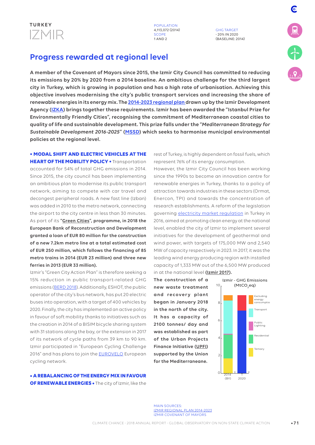

GHG TARGET - 20% IN 2020 (BASELINE: 2014) E

# **Progress rewarded at regional level**

**A member of the Covenant of Mayors since 2015, the Izmir City Council has committed to reducing its emissions by 20% by 2020 from a 2014 baseline. An ambitious challenge for the third largest city in Turkey, which is growing in population and has a high rate of urbanisation. Achieving this objective involves modernising the city's public transport services and increasing the share of renewable energies in its energy mix. The 2014-2023 regional plan drawn up by the Izmir Development Agency (IZKA) brings together these requirements. Izmir has been awarded the "Istanbul Prize for Environmentally Friendly Cities", recognising the commitment of Mediterranean coastal cities to quality of life and sustainable development. This prize falls under the "***Mediterranean Strategy for Sustainable Development 2016-2025***" (MSSD) which seeks to harmonise municipal environmental policies at the regional level.**

### **• MODAL SHIFT AND ELECTRIC VEHICLES AT THE HEART OF THE MOBILITY POLICY •** Transportation

accounted for 54% of total GHG emissions in 2014. Since 2015, the city council has been implementing an ambitious plan to modernise its public transport network, aiming to compete with car travel and decongest peripheral roads. A new fast line (Izban) was added in 2010 to the metro network, connecting the airport to the city centre in less than 30 minutes. As part of its **"Green Cities", programme, in 2018 the European Bank of Reconstruction and Development granted a loan of EUR 80 million for the construction of a new 7.2km metro line at a total estimated cost of EUR 250 million, which follows the financing of 85 metro trains in 2014 (EUR 23 million) and three new ferries in 2013 (EUR 33 million).**

Izmir's "Green City Action Plan" is therefore seeking a 15% reduction in public transport-related GHG emissions (BERD 2018). Additionally, ESHOT, the public operator of the city's bus network, has put 20 electric buses into operation, with a target of 400 vehicles by 2020. Finally, the city has implemented an active policy in favour of soft mobility thanks to initiatives such as the creation in 2014 of a BISIM bicycle sharing system with 31 stations along the bay, or the extension in 2017 of its network of cycle paths from 39 km to 90 km. Izmir participated in "European Cycling Challenge 2016" and has plans to join the EUROVELO European cycling network.

**• A REBALANCING OF THE ENERGY MIX IN FAVOUR OF RENEWABLE ENERGIES •** The city of Izmir, like the rest of Turkey, is highly dependent on fossil fuels, which represent 76% of its energy consumption.

However, the Izmir City Council has been working since the 1990s to become an innovation centre for renewable energies in Turkey, thanks to a policy of attraction towards industries in these sectors (Ormat, Enercon, TPI) and towards the concentration of research establishments. A reform of the legislation governing electricity market regulation in Turkey in 2016, aimed at promoting clean energy at the national level, enabled the city of Izmir to implement several initiatives for the development of geothermal and wind power, with targets of 175,000 MW and 2,540 MW of capacity respectively in 2023. In 2017, it was the leading wind energy producing region with installed capacity of 1,333 MW out of the 6,500 MW produced in at the national level **(Izmir 2017).** 

**The construction of a new waste treatment**  and recovery plant **began in January 2018 in the north of the city. It has a capacity of 2100 tonnes/ day and was established as part of the Urban Projects Finance Initiative (UPFI) supported by the Union for the Mediterraneane.** 



MAIN SOURCES: IZMIR REGIONAL PLAN 2014-2023 IZMIR COVENANT OF MAYORS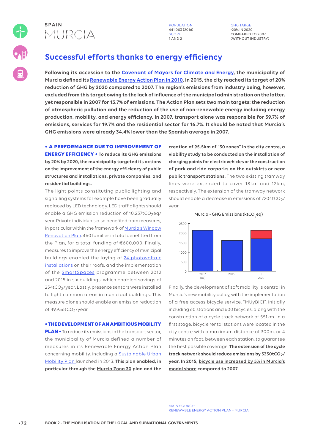

**POPULATION** 441,003 (2016) SCOPE 1 AND 2

GHG TARGET -20% IN 2020 COMPARED TO 2007 (WITHOUT INDUSTRY)

# **Successful efforts thanks to energy efficiency**

**Following its accession to the Covenant of Mayors for Climate and Energy, the municipality of Murcia defined its Renewable Energy Action Plan in 2010. In 2015, the city reached its target of 20% reduction of GHG by 2020 compared to 2007. The region's emissions from industry being, however, excluded from this target owing to the lack of influence of the municipal administration on the latter, yet responsible in 2007 for 13.7% of emissions. The Action Plan sets two main targets: the reduction of atmospheric pollution and the reduction of the use of non-renewable energy including energy production, mobility, and energy efficiency. In 2007, transport alone was responsible for 39.7% of emissions, services for 19.7% and the residential sector for 16.7%. It should be noted that Murcia's GHG emissions were already 34.4% lower than the Spanish average in 2007.**

### **• A PERFORMANCE DUE TO IMPROVEMENT OF**

**ENERGY EFFICIENCY • To reduce its GHG emissions by 20% by 2020, the municipality targeted its actions on the improvement of the energy efficiency of public structures and installations, private companies, and residential buildings.** 

The light points constituting public lighting and signalling systems for example have been gradually replaced by LED technology. LED traffic lights should enable a GHG emission reduction of 10,237tCO<sub>2</sub>eq/ year. Private individuals also benefited from measures, in particular within the framework of Murcia's Window Renovation Plan. 460 families in total benefitted from the Plan, for a total funding of €600,000. Finally, measures to improve the energy efficiency of municipal buildings enabled the laying of 24 photovoltaic installations on their roofs, and the implementation of the SmartSpaces programme between 2012 and 2015 in six buildings, which enabled savings of 254tCO<sub>2</sub>/year. Lastly, presence sensors were installed to light common areas in municipal buildings. This measure alone should enable an emission reduction of 49,956tCO<sub>2</sub>/year.

### **• THE DEVELOPMENT OF AN AMBITIOUS MOBILITY**

**PLAN •** To reduce its emissions in the transport sector, the municipality of Murcia defined a number of measures in its Renewable Energy Action Plan concerning mobility, including a **Sustainable Urban** Mobility Plan launched in 2013. **This plan enabled, in particular through the Murcia Zona 30 plan and the** 

**creation of 95.5km of "30 zones" in the city centre, a viability study to be conducted on the installation of charging points for electric vehicles or the construction of park and ride carparks on the outskirts or near public transport stations.** The two existing tramway lines were extended to cover 18km and 12km, respectively. The extension of the tramway network should enable a decrease in emissions of  $7204tCO<sub>2</sub>/$ year.





Finally, the development of soft mobility is central in Murcia's new mobility policy, with the implementation of a free access bicycle service, "MUyBICI", initially including 60 stations and 600 bicycles, along with the construction of a cycle track network of 551km. In a first stage, bicycle rental stations were located in the city centre with a maximum distance of 300m, or 4 minutes on foot, between each station, to guarantee the best possible coverage. **The extension of the cycle track network should reduce emissions by 5330tCO2/ year. In 2015, bicycle use increased by 5% in Murcia's modal share compared to 2007.** 

MAIN SOURCE: RENEWABLE ENERGY ACTION PLAN - MURCIA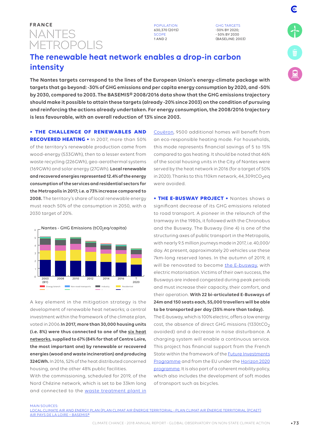# NANTES METROPOLIS **FRANCE** POPULATION

630,370 (2015) SCOPE 1 AND 2

GHG TARGETS -30% BY 2020; - 50% BY 2030 (BASELINE: 2003)

# **The renewable heat network enables a drop-in carbon intensity**

**The Nantes targets correspond to the lines of the European Union's energy-climate package with targets that go beyond: -30% of GHG emissions and per capita energy consumption by 2020, and -50% by 2030, compared to 2003. The BASEMIS® 2008/2016 data show that the GHG emissions trajectory should make it possible to attain these targets (already -20% since 2003) on the condition of pursuing and reinforcing the actions already undertaken. For energy consumption, the 2008/2016 trajectory is less favourable, with an overall reduction of 13% since 2003.**

**• THE CHALLENGE OF RENEWABLES AND** 

**RECOVERED HEATING •** In 2007, more than 50% of the territory's renewable production came from wood-energy (533GWh), then to a lesser extent from waste recycling (226GWh), geo-aerothermal systems (169GWh) and solar energy (27GWh). **Local renewable and recovered energies represented 12.4% of the energy consumption of the services and residential sectors for the Metropolis in 2017; i.e. a 73% increase compared to 2008.** The territory's share of local renewable energy must reach 50% of the consumption in 2050, with a 2030 target of 20%.



A key element in the mitigation strategy is the development of renewable heat networks; a central investment within the framework of the climate plan, voted in 2006.**In 2017, more than 30,000 housing units (i.e. 8%) were thus connected to one of the six heat networks, supplied to 67% (84% for that of Centre Loire, the most important one) by renewable or recovered energies (wood and waste incineration) and producing 324GWh.** In 2016, 52% of the heat distributed concerned housing, and the other 48% public facilities.

With the commissioning, scheduled for 2019, of the Nord Chézine network, which is set to be 33km long and connected to the waste treatment plant in

Couëron, 9500 additional homes will benefit from an eco-responsible heating mode. For households, this mode represents financial savings of 5 to 15% compared to gas heating. It should be noted that 46% of the social housing units in the City of Nantes were served by the heat network in 2016 (for a target of 50% in 2020). Thanks to this 110km network,  $44,309$ tCO<sub>2</sub>eq were avoided.

**• THE E-BUSWAY PROJECT •** Nantes shows a significant decrease of its GHG emissions related to road transport. A pioneer in the relaunch of the tramway in the 1980s, it followed with the Chronobus and the Busway. The Busway (line 4) is one of the structuring axes of public transport in the Metropolis, with nearly 9.5 million journeys made in 2017, i.e. 40,000/ day. At present, approximately 20 vehicles use these 7km-long reserved lanes. In the autumn of 2019, it will be renovated to become the E-busway, with electric motorisation. Victims of their own success, the Busways are indeed congested during peak periods and must increase their capacity, their comfort, and their operation. **With 22 bi-articulated E-Busways of 24m and 150 seats each, 55,000 travellers will be able to be transported per day (35% more than today).**

The E-busway, which is 100% electric, offers a low energy cost, the absence of direct GHG missions (1330tCO<sub>2</sub>) avoided) and a decrease in noise disturbance. A charging system will enable a continuous service. This project has financial support from the French State within the framework of the Future Investments Programme and from the EU under the Horizon 2020 programme. It is also part of a coherent mobility policy, which also includes the development of soft modes of transport such as bicycles.

**MAIN SOURCES** 

LOCAL CLIMATE AIR AND ENERGY PLAN (PLAN CLIMAT AIR ÉNERGIE TERRITORIAL - PLAN CLIMAT AIR ÉNERGIE TERRITORIAL (PCAET) AIR PAYS DE LA LOIRE – BASEMIS®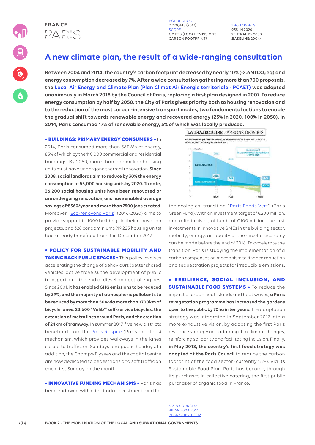



POPULATION 2,220,445 (2017) SCOPE 1, 2 ET 3 (LOCAL EMISSIONS + CARBON FOOTPRINT)

GHG TARGETS -25% IN 2020 NEUTRAL BY 2050. (BASELINE: 2004)

# **A new climate plan, the result of a wide-ranging consultation**

Between 2004 and 2014, the country's carbon footprint decreased by nearly 10% (-2.6MtCO<sub>2</sub>eq) and **energy consumption decreased by 7%. After a wide consultation gathering more than 700 proposals, the Local Air Energy and Climate Plan (Plan Climat Air Énergie territoriale - PCAET) was adopted unanimously in March 2018 by the Council of Paris, replacing a first plan designed in 2007. To reduce energy consumption by half by 2050, the City of Paris gives priority both to housing renovation and to the reduction of the most carbon-intensive transport modes; two fundamental actions to enable the gradual shift towards renewable energy and recovered energy (25% in 2020, 100% in 2050). In 2014, Paris consumed 17% of renewable energy, 5% of which was locally produced.**

### **• BUILDINGS: PRIMARY ENERGY CONSUMERS •** In

2014, Paris consumed more than 36TWh of energy, 85% of which by the 110,000 commercial and residential buildings. By 2050, more than one million housing units must have undergone thermal renovation. **Since 2008, social landlords aim to reduce by 30% the energy consumption of 55,000 housing units by 2020. To date, 36,200 social housing units have been renovated or are undergoing renovation, and have enabled average savings of €360/year and more than 7500 jobs created**. Moreover, "Eco-rénovons Paris" (2016-2020) aims to provide support to 1000 buildings in their renovation projects, and 328 condominiums (19,225 housing units) had already benefited from it in December 2017.

## **• POLICY FOR SUSTAINABLE MOBILITY AND**

**TAKING BACK PUBLIC SPACES •** This policy involves accelerating the change of behaviours (better shared vehicles, active travels), the development of public transport, and the end of diesel and petrol engines. Since 2001, it **has enabled GHG emissions to be reduced by 39%, and the majority of atmospheric pollutants to be reduced by more than 50% via more than +700km of bicycle lanes, 23,600 "Vélib'" self-service bicycles, the extension of metro lines around Paris, and the creation of 24km of tramway.** In summer 2017, five new districts benefited from the Paris Respire (Paris breathes) mechanism, which provides walkways in the lanes closed to traffic, on Sundays and public holidays. In addition, the Champs-Elysées and the capital centre are now dedicated to pedestrians and soft traffic on each first Sunday on the month.

**• INNOVATIVE FUNDING MECHANISMS •** Paris has been endowed with a territorial investment fund for



the ecological transition, "Paris Fonds Vert". (Paris Green Fund). With an investment target of €200 million, and a first raising of funds of €100 million, the first investments in innovative SMEs in the building sector, mobility, energy, air quality or the circular economy can be made before the end of 2018. To accelerate the transition, Paris is studying the implementation of a carbon compensation mechanism to finance reduction and sequestration projects for irreducible emissions.

### **• RESILIENCE, SOCIAL INCLUSION, AND**

**SUSTAINABLE FOOD SYSTEMS •** To reduce the impact of urban heat islands and heat waves, **a Paris revegetation programme has increased the gardens open to the public by 70ha in ten years.** The adaptation strategy was integrated in September 2017 into a more exhaustive vision, by adopting the first Paris resilience strategy and adapting it to climate changes, reinforcing solidarity and facilitating inclusion. Finally, **in May 2018, the country's first food strategy was adopted at the Paris Council** to reduce the carbon footprint of the food sector (currently 18%). Via its Sustainable Food Plan, Paris has become, through its purchases in collective catering, the first public purchaser of organic food in France.

MAIN SOURCES: BILAN 2004-2014 PLAN CLIMAT 2018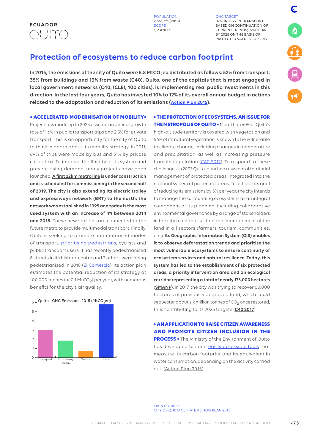

GHG TARGET -16% IN 2022 IN TRANSPORT BASED ON CONTINUATION OF CURRENT TRENDS; -5%/ YEAR BY 2025 ON THE BASIS OF PROJECTED VALUES FOR 2019. E

# **Protection of ecosystems to reduce carbon footprint**

**In 2015, the emissions of the city of Quito were 5.8 MtCO2eq distributed as follows: 52% from transport, 35% from buildings and 13% from waste (C40). Quito, one of the capitals that is most engaged in local government networks (C40, ICLEI, 100 cities), is implementing real public investments in this direction. In the last four years, Quito has invested 10% to 12% of its overall annual budget in actions related to the adaptation and reduction of its emissions (Action Plan 2015).**

**• ACCELERATED MODERNISATION OF MOBILITY•**

Projections made up to 2025 assume an annual growth rate of 1.6% in public transport trips and 2.5% for private transport. This is an opportunity for the city of Quito to think in depth about its mobility strategy. In 2011, 69% of trips were made by bus and 31% by private car or taxi. To improve the fluidity of its system and prevent rising demand, many projects have been launched: **A first 22km metro line is under construction and is scheduled for commissioning in the second half of 2019. The city is also extending its electric trolley and expressways network (BRT) to the north; the network was established in 1995 and today is the most used system with an increase of 4% between 2014 and 2018.** These new stations are connected to the future metro to provide multimodal transport. Finally, Quito is seeking to promote non-motorised modes of transport**,** prioritising pedestrians, cyclists and public transport users: it has recently pedestrianised 8 streets in its historic centre and 3 others were being pedestrianised in 2018 (El Comercio). Its action plan estimates the potential reduction of its strategy at 100,000 tonnes (or 0.1 MtCO<sub>2</sub>) per year, with numerous benefits for the city's air quality.



### **• THE PROTECTION OF ECOSYSTEMS, AN ISSUE FOR**

**THE METROPOLIS OF QUITO •** More than 60% of Quito's high-altitude territory is covered with vegetation and 56% of its natural vegetation is known to be vulnerable to climate change, including changes in temperature and precipitation, as well as increasing pressure from its population (C40 2017). To respond to these challenges, in 2007 Quito launched a system of territorial management of protected areas, integrated into the national system of protected areas. To achieve its goal of reducing its emissions by 5% per year, the city intends to manage the surrounding ecosystems as an integral component of its planning, including collaborative environmental governance by a range of stakeholders in the city to enable sustainable management of the land in all sectors (farmers, tourism, communities, etc.). **Its Geographic Information System (GIS) enables it to observe deforestation trends and prioritise the most vulnerable ecosystems to ensure continuity of ecosystem services and natural resilience. Today, this system has led to the establishment of six protected areas, a priority intervention area and an ecological corridor representing a total of nearly 175,000 hectares** (**SMANP**). In 2017, the city was trying to recover 60,000 hectares of previously degraded land, which could sequester about six million tonnes of  $CO<sub>2</sub>$  once restored, thus contributing to its 2025 targets (**C40 2017**).

**• AN APPLICATION TO RAISE CITIZEN AWARENESS AND PROMOTE CITIZEN INCLUSION IN THE PROCESS •** The Ministry of the Environment of Quito has developed fun and easily accessible tools that measure its carbon footprint and its equivalent in water consumption, depending on the activity carried out. (Action Plan 2015).

MAIN SOURCE: CITY OF QUITO CLIMATE ACTION PLAN 2015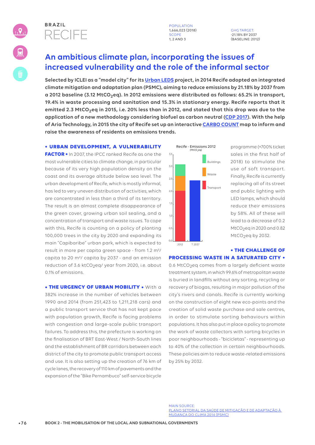

1,666,023 (2018) SCOPE 1, 2 AND 3

GHG TARGET: -21.18% BY 2037 (BASELINE: 2012)

# **An ambitious climate plan, incorporating the issues of increased vulnerability and the role of the informal sector**

**Selected by ICLEI as a "model city" for its Urban LEDS project, in 2014 Recife adopted an integrated climate mitigation and adaptation plan (PSMC), aiming to reduce emissions by 21.18% by 2037 from a 2012 baseline (3.12 MtCO2eq). In 2012 emissions were distributed as follows: 65.2% in transport, 19.4% in waste processing and sanitation and 15.3% in stationary energy. Recife reports that it emitted 2.3 MtCO2eq in 2015, i.e. 20% less than in 2012, and stated that this drop was due to the application of a new methodology considering biofuel as carbon neutral (CDP 2017). With the help of Aria Technology, in 2015 the city of Recife set up an interactive CARBO COUNT map to inform and raise the awareness of residents on emissions trends.**

### **• URBAN DEVELOPMENT, A VULNERABILITY**

**FACTOR •** In 2007, the IPCC ranked Recife as one the most vulnerable cities to climate change, in particular because of its very high population density on the coast and its average altitude below sea level. The urban development of Recife, which is mostly informal, has led to very uneven distribution of activities, which are concentrated in less than a third of its territory. The result is an almost complete disappearance of the green cover, growing urban soil sealing, and a concentration of transport and waste issues. To cope with this, Recife is counting on a policy of planting 100,000 trees in the city by 2020 and expanding its main "Capibaribe" urban park, which is expected to result in more per capita green space - from 1.2 m²/ capita to 20 m²/ capita by 2037 - and an emission reduction of 3.6 ktCO<sub>2</sub>eq/ year from 2020, i.e. about 0.1% of emissions.

**• THE URGENCY OF URBAN MOBILITY • With a** 382% increase in the number of vehicles between 1990 and 2014 (from 251,423 to 1,211,218 cars) and a public transport service that has not kept pace with population growth, Recife is facing problems with congestion and large-scale public transport failures. To address this, the prefecture is working on the finalisation of BRT East-West / North-South lines and the establishment of BR corridors between each district of the city to promote public transport access and use. It is also setting up the creation of 76 km of cycle lanes, the recovery of 110 km of pavements and the expansion of the "Bike Pernambuco" self-service bicycle



programme (+700% ticket sales in the first half of 2018) to stimulate the use of soft transport. Finally, Recife is currently replacing all of its street and public lighting with LED lamps, which should reduce their emissions by 58%. All of these will lead to a decrease of 0.2  $MtCO<sub>2</sub>$ eq in 2020 and 0.82 MtCO<sub>2</sub>eq by 2032.

### **• THE CHALLENGE OF PROCESSING WASTE IN A SATURATED CITY •**

0.6 MtCO<sub>2</sub>eq comes from a largely deficient waste treatment system, in which 99.6% of metropolitan waste is buried in landfills without any sorting, recycling or recovery of biogas, resulting in major pollution of the city's rivers and canals. Recife is currently working on the construction of eight new eco-points and the creation of solid waste purchase and sale centres, in order to stimulate sorting behaviours within populations. It has also put in place a policy to promote the work of waste collectors with sorting bicycles in poor neighbourhoods - "bicicletas" - representing up to 40% of the collection in certain neighbourhoods. These policies aim to reduce waste-related emissions by 25% by 2032.

MAIN SOURCE: PLANO SETORIAL DA SAÚDE DE MITIGAÇÃO E DE ADAPTAÇÃO À MUDANÇA DO CLIMA 2014 (PSMC)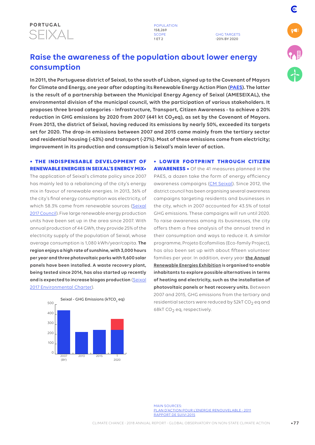

GHG TARGETS -20% BY 2020

# **Raise the awareness of the population about lower energy consumption**

**In 2011, the Portuguese district of Seixal, to the south of Lisbon, signed up to the Covenant of Mayors for Climate and Energy, one year after adopting its Renewable Energy Action Plan (PAES). The latter is the result of a partnership between the Municipal Energy Agency of Seixal (AMESEIXAL), the environmental division of the municipal council, with the participation of various stakeholders. It proposes three broad categories - Infrastructure, Transport, Citizen Awareness - to achieve a 20% reduction in GHG emissions by 2020 from 2007 (441 kt CO2eq), as set by the Covenant of Mayors. From 2013, the district of Seixal, having reduced its emissions by nearly 50%, exceeded its targets set for 2020. The drop-in emissions between 2007 and 2015 came mainly from the tertiary sector and residential housing (-63%) and transport (-27%). Most of these emissions come from electricity; improvement in its production and consumption is Seixal's main lever of action.**

### **• THE INDISPENSABLE DEVELOPMENT OF RENEWABLE ENERGIES IN SEIXAL'S ENERGY MIX•**

The application of Seixal's climate policy since 2007 has mainly led to a rebalancing of the city's energy mix in favour of renewable energies. In 2013, 36% of the city's final energy consumption was electricity, of which 58.3% came from renewable sources (Seixal 2017 Council). Five large renewable energy production units have been set up in the area since 2007. With annual production of 44 GWh, they provide 25% of the electricity supply of the population of Seixal, whose average consumption is 1,080 kWh/year/capita. **The region enjoys a high rate of sunshine, with 3,000 hours per year and three photovoltaic parks with 9,600 solar panels have been installed. A waste recovery plant, being tested since 2014, has also started up recently and is expected to increase biogas production** (Seixal 2017 Environmental Charter).



**• LOWER FOOTPRINT THROUGH CITIZEN AWARENESS •** Of the 41 measures planned in the PAES, a dozen take the form of energy efficiency awareness campaigns (CM Seixal). Since 2012, the district council has been organising several awareness campaigns targeting residents and businesses in the city, which in 2007 accounted for 43.5% of total GHG emissions. These campaigns will run until 2020. To raise awareness among its businesses, the city offers them a free analysis of the annual trend in their consumption and ways to reduce it. A similar programme, Projeto Ecofamilias (Eco-family Project), has also been set up with about fifteen volunteer families per year. In addition, every year **the Annual Renewable Energies Exhibition is organised to enable inhabitants to explore possible alternatives in terms of heating and electricity, such as the installation of photovoltaic panels or heat recovery units.** Between 2007 and 2015, GHG emissions from the tertiary and residential sectors were reduced by  $52kT$  CO<sub>2</sub> eq and 68kT CO<sub>2</sub> eq, respectively.

E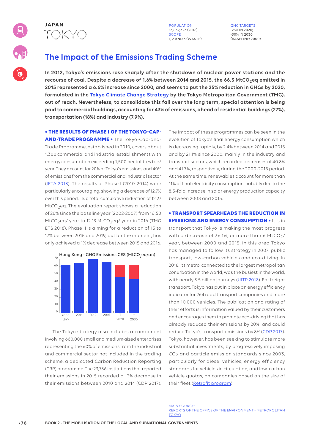

13,839,323 (2018) SCOPE 1, 2 AND 3 (WASTE) GHG TARGETS -25% IN 2020; -30% IN 2030 (BASELINE: 2000)

# **The Impact of the Emissions Trading Scheme**

**In 2012, Tokyo's emissions rose sharply after the shutdown of nuclear power stations and the recourse of coal. Despite a decrease of 1.6% between 2014 and 2015, the 66.3 MtCO2eq emitted in 2015 represented a 6.6% increase since 2000, and seems to put the 25% reduction in GHGs by 2020, formulated in the Tokyo Climate Change Strategy by the Tokyo Metropolitan Government (TMG), out of reach. Nevertheless, to consolidate this fall over the long term, special attention is being paid to commercial buildings, accounting for 43% of emissions, ahead of residential buildings (27%), transportation (18%) and industry (7.9%).**

### **• THE RESULTS OF PHASE I OF THE TOKYO-CAP-**

**AND-TRADE PROGRAMME •** The Tokyo-Cap-and-Trade Programme, established in 2010, covers about 1,300 commercial and industrial establishments with energy consumption exceeding 1,500 hectolitres toe/ year. They account for 20% of Tokyo's emissions and 40% of emissions from the commercial and industrial sector (IETA 2018). The results of Phase I (2010-2014) were particularly encouraging, showing a decrease of 12.7% over this period, i.e. a total cumulative reduction of 12.27 MtCO<sub>2</sub>eq. The evaluation report shows a reduction of 26% since the baseline year (2002-2007) from 16.50 MtCO<sub>2</sub>eq/ year to 12.13 MtCO<sub>2</sub>eq/ year in 2016 (TMG ETS 2018). Phase II is aiming for a reduction of 15 to 17% between 2015 and 2019, but for the moment, has only achieved a 1% decrease between 2015 and 2016.



The Tokyo strategy also includes a component involving 660,000 small and medium-sized enterprises representing the 60% of emissions from the industrial and commercial sector not included in the trading scheme: a dedicated Carbon Reduction Reporting (CRR) programme. The 23,786 institutions that reported their emissions in 2015 recorded a 13% decrease in their emissions between 2010 and 2014 (CDP 2017).

The impact of these programmes can be seen in the evolution of Tokyo's final energy consumption which is decreasing rapidly, by 2.4% between 2014 and 2015 and by 21.1% since 2000, mainly in the industry and transport sectors, which recorded decreases of 40.8% and 41.7%, respectively, during the 2000-2015 period. At the same time, renewables account for more than 11% of final electricity consumption, notably due to the 8.5-fold increase in solar energy production capacity between 2008 and 2015.

### **• TRANSPORT SPEARHEADS THE REDUCTION IN EMISSIONS AND ENERGY CONSUMPTION •** It is in

transport that Tokyo is making the most progress with a decrease of 36.1%, or more than 6  $\mathsf{MtCO}_2/$ year, between 2000 and 2015. In this area Tokyo has managed to follow its strategy in 2007: public transport, low-carbon vehicles and eco-driving. In 2018, its metro, connected to the largest metropolitan conurbation in the world, was the busiest in the world, with nearly 3.5 billion journeys (UITP 2018). For freight transport, Tokyo has put in place an energy efficiency indicator for 264 road transport companies and more than 10,000 vehicles. The publication and rating of their efforts is information valued by their customers and encourages them to promote eco-driving that has already reduced their emissions by 20%, and could reduce Tokyo's transport emissions by 8% (CDP 2017). Tokyo, however, has been seeking to stimulate more substantial investments, by progressively imposing  $CO<sub>2</sub>$  and particle emission standards since 2003, particularly for diesel vehicles, energy efficiency standards for vehicles in circulation, and low-carbon vehicle quotas, on companies based on the size of their fleet (Retrofit program).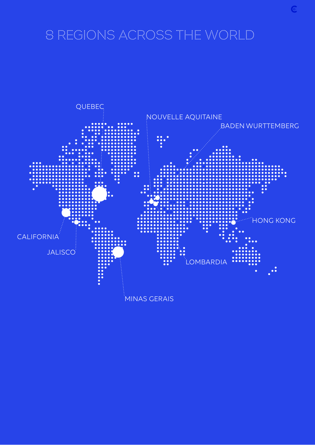# 8 REGIONS ACROSS THE WORLD

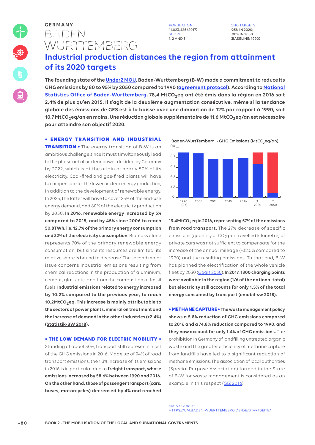# BADEN **WURTTEMBERG GERMANY** POPULATION

11,023,425 (2017) SCOP 1, 2 AND 3

GHG TARGETS -25% IN 2020; -90% IN 2050 (BASELINE: 1990)

# **Industrial production distances the region from attainment of its 2020 targets**

**The founding state of the Under2 MOU, Baden-Wurttemberg (B-W) made a commitment to reduce its GHG emissions by 80 to 95% by 2050 compared to 1990 (agreement protocol). According to National Statistics Office of Baden-Wurttemberg, 78,4 MtCO2eq ont été émis dans la région en 2016 soit 2,4% de plus qu'en 2015. Il s'agit de la deuxième augmentation consécutive, même si la tendance globale des émissions de GES est à la baisse avec une diminution de 12% par rapport à 1990, soit 10,7 MtCO2eq/an en moins. Une réduction globale supplémentaire de 11,6 MtCO2eq/an est nécessaire pour atteindre son objectif 2020.**

### **• ENERGY TRANSITION AND INDUSTRIAL**

**TRANSITION •** The energy transition of B-W is an ambitious challenge since it must simultaneously lead to the phase out of nuclear power decided by Germany by 2022, which is at the origin of nearly 50% of its electricity. Coal-fired and gas-fired plants will have to compensate for the lower nuclear energy production, in addition to the development of renewable energy. In 2025, the latter will have to cover 25% of the end-use energy demand, and 80% of the electricity production by 2050. **In 2016, renewable energy increased by 5% compared to 2015, and by 45% since 2006 to reach 50.8TWh, i.e. 12.7% of the primary energy consumption and 32% of the electricity consumption.** Biomass alone represents 70% of the primary renewable energy consumption, but since its resources are limited, its relative share is bound to decrease. The second major issue concerns industrial emissions resulting from chemical reactions in the production of aluminium, cement, glass, etc. and from the combustion of fossil fuels. **Industrial emissions related to energy increased by 10.2% compared to the previous year, to reach 10.2MtCO2eq. This increase is mainly attributable to the sectors of power plants, mineral oil treatment and the increase of demand in the other industries (+2.4%) (Statistik-BW 2018).** 

### **• THE LOW DEMAND FOR ELECTRIC MOBILITY •**

Standing at about 30%, transport still represents most of the GHG emissions in 2016. Made up of 94% of road transport emissions, the 1.3% increase of its emissions in 2016 is in particular due to **freight transport, whose emissions increased by 58.6% between 1990 and 2016. On the other hand, those of passenger transport (cars, buses, motorcycles) decreased by 4% and reached** 

Baden-WurtTemberg - GHG Emissions (MtCO<sub>2</sub>eq/an) 100



**13.4MtCO2eq in 2016, representing 57% of the emissions from road transport.** The 27% decrease of specific emissions (quantity of CO<sub>2</sub> per travelled kilometre) of private cars was not sufficient to compensate for the increase of the annual mileage (+32.5% compared to 1990) and the resulting emissions. To that end, B-W has planned the electrification of the whole vehicle fleet by 2030 (Goals 2030). **In 2017, 1800 charging points were available in the region (1/6 of the national total) but electricity still accounts for only 1.5% of the total energy consumed by transport (emobil-sw 2018).**

**• METHANE CAPTURE • The waste management policy shows a 5.8% reduction of GHG emissions compared to 2016 and a 74.8% reduction compared to 1990, and they now account for only 1.4% of GHG emissions.** The prohibition in Germany of landfilling untreated organic waste and the greater efficiency of methane capture from landfills have led to a significant reduction of methane emissions. The association of local authorities (Special Purpose Association) formed in the State of B-W for waste management is considered as an example in this respect (GIZ 2016).

MAIN SOURCE: HTTPS://UM.BADEN-WUERTTEMBERG.DE/DE/STARTSEITE/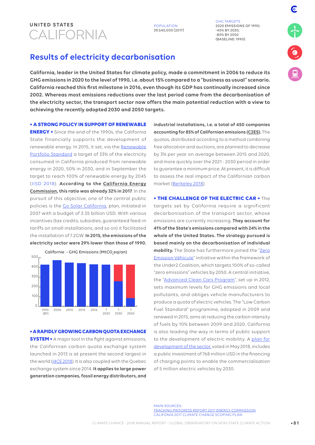# CALIFORNIA **UNITED STATES** POPULATION

39,540,000 (2017)

GHG TARGETS 2020 EMISSIONS OF 1990;  $-40\%$  BY 2030; -80% BY 2050 (BASELINE: 1990).

# **Results of electricity decarbonisation**

**California, leader in the United States for climate policy, made a commitment in 2006 to reduce its GHG emissions in 2020 to the level of 1990, i.e. about 15% compared to a "business as usual" scenario. California reached this first milestone in 2016, even though its GDP has continually increased since 2002. Whereas most emissions reductions over the last period came from the decarbonisation of the electricity sector, the transport sector now offers the main potential reduction with a view to achieving the recently adopted 2030 and 2050 targets.**

**• A STRONG POLICY IN SUPPORT OF RENEWABLE** 

**ENERGY •** Since the end of the 1990s, the California State financially supports the development of renewable energy. In 2015, it set, via the Renewable Portfolio Standard a target of 33% of the electricity consumed in California produced from renewable energy in 2020, 50% in 2030, and in September the target to reach 100% of renewable energy by 2045 (IISD 2018). **According to the California Energy Commission, this ratio was already 32% in 2017**. In the pursuit of this objective, one of the central public policies is the Go Solar California, plan, initiated in 2007 with a budget of 3.35 billion USD. With various incentives (tax credits, subsidies, guaranteed feed-in tariffs on small installations, and so on) it facilitated the installation of 7.2GW. **In 2015, the emissions of the electricity sector were 29% lower than those of 1990.**



**• A RAPIDLY GROWING CARBON QUOTA EXCHANGE SYSTEM •** A major tool in the fight against emissions, the Californian carbon quota exchange system launched in 2013 is at present the second largest in the world (I4CE 2018). It is also coupled with the Quebec exchange system since 2014. **It applies to large power generation companies, fossil energy distributors, and** 

**industrial installations, i.e. a total of 450 companies accounting for 85% of Californian emissions (C2ES).** The quotas, distributed according to a method combining free allocation and auctions, are planned to decrease by 3% per year on average between 2015 and 2020, and more quickly over the 2021 - 2030 period in order to guarantee a minimum price. At present, it is difficult to assess the real impact of the Californian carbon market (Berkeley 2018).

**• THE CHALLENGE OF THE ELECTRIC CAR •** The targets set by California require a significant decarbonisation of the transport sector, whose emissions are currently increasing. **They account for 41% of the State's emissions compared with 24% in the whole of the United States. The strategy pursued is based mainly on the decarbonisation of individual**  mobility. The State has furthermore joined the "Zero Emission Véhicule" initiative within the framework of the Under2 Coalition, which targets 100% of so-called "zero emissions" vehicles by 2050. A central initiative, the "Advanced Clean Cars Program", set up in 2012, sets maximum levels for GHG emissions and local pollutants, and obliges vehicle manufacturers to produce a quota of electric vehicles. The "Low Carbon Fuel Standard" programme, adopted in 2009 and renewed in 2015, aims at reducing the carbon intensity of fuels by 10% between 2009 and 2020. California is also leading the way in terms of public support to the development of electric mobility. A plan for development of the sector, voted in May 2018, includes a public investment of 768 million USD in the financing of charging points to enable the commercialisation of 5 million electric vehicles by 2030.

MAIN SOURCES: TRACKING PROGRESS REPORT 2017 ENERGY COMMISSION CALIFONIA 2017 CLIMATE CHANGE SCOPING PLAN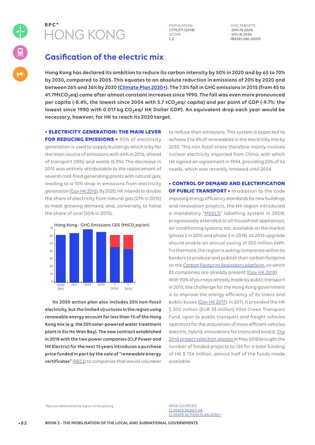

**R P C \*** POPULATION 7,779,371 (2018) SCOPE  $1, 2$ 

GHG TARGETS -20% IN 2020; -31% IN 2030 (BASELINE: 2005)

# **Gasification of the electric mix**

**Hong Kong has declared its ambition to reduce its carbon intensity by 50% in 2020 and by 65 to 70% by 2030, compared to 2005. This equates to an absolute reduction in emissions of 20% by 2020 and between 26% and 36% by 2030 (Climate Plan 2030+). The 7.5% fall in GHG emissions in 2015 (from 45 to 41.7MtCO2eq) came after almost constant increases since 1990. The fall was even more pronounced per capita (-8.4%, the lowest since 2004 with 5.7 tCO2eq/ capita) and per point of GDP (-9.7%: the lowest since 1990 with 0.017 kg CO2eq/ HK Dollar GDP). An equivalent drop each year would be necessary, however, for HK to reach its 2020 target.**

### **• ELECTRICITY GENERATION: THE MAIN LEVER**

**FOR REDUCING EMISSIONS •** 90% of electricity generation is used to supply buildings which is by far the main source of emissions with 66% in 2016, ahead of transport (18%) and waste (5.9%). The decrease in 2015 was entirely attributable to the replacement of several coal-fired generating plants with natural gas, leading to a 10% drop in emissions from electricity generation (Gov HK 2016). By 2020, HK intends to double the share of electricity from natural gas (27% in 2015) to meet growing demand, and, conversely, to halve the share of coal (50% in 2015).



**Its 2030 action plan also includes 25% non-fossil electricity, but the limited structures in the region using renewable energy account for less than 1% of the Hong Kong mix (e.g. the 25% solar-powered water treatment plant in Siu Ho Wan Bay). The new contract established in 2018 with the two power companies (CLP Power and HK Electric) for the next 15 years introduces a purchase price funded in part by the sale of "renewable energy certificates"** (RECs) to companies that would volunteer to reduce their emissions. This system is expected to achieve 3 to 4% of renewables in the electricity mix by 2030. This non-fossil share therefore mainly involves nuclear electricity imported from China, with which HK signed an agreement in 1994, providing 25% of its needs, which was recently renewed until 2034.

**• CONTROL OF DEMAND AND ELECTRIFICATION OF PUBLIC TRANSPORT •** In addition to the code imposing energy efficiency standards for new buildings and renovation projects, the HK region introduced a mandatory "MEELS" labelling system in 2008, progressively extended to all household appliances, air conditioning systems, etc. available on the market (phase 2 in 2015 and phase 3 in 2018). Its 2015 upgrade should enable an annual saving of 300 million kWh. Furthermore, the region is asking companies within its borders to produce and publish their carbon footprint on the Carbon Footprint Repository platform, on which 83 companies are already present (Gov HK 2018).

With 90% of journeys already made by public transport in 2015, the challenge for the Hong Kong government is to improve the energy efficiency of its trains and public buses (Gov HK 2017). In 2011, it provided the HK \$ 300 million (EUR 33 million) Pilot Green Transport Fund, open to public transport and freight vehicles operators for the acquisition of more efficient vehicles (electric, hybrid, innovations for trains and boats). The 22nd project selection session in May 2018 brought the number of funded projects to 124 for a total funding of HK \$ 134 million, almost half of the funds made available.

\*Special administrative region of Hong Kong

MAIN SOURCES: CLIMATE READY HK CLIMATE ACTION PLAN 2030+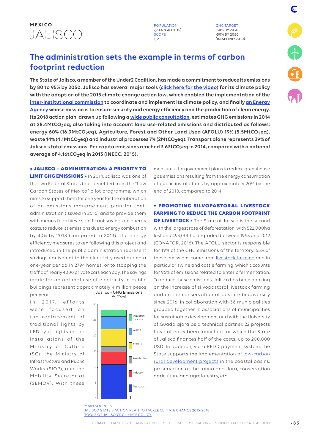

**POPULATION** 7,844,830 (2015) SCOPE 1, 2

GHG TARGET -30% BY 2030 -50% BY 2050 (BASELINE: 2010). F

# **The administration sets the example in terms of carbon footprint reduction**

**The State of Jalisco, a member of the Under2 Coalition, has made a commitment to reduce its emissions by 80 to 95% by 2050. Jalisco has several major tools (click here for the video) for its climate policy with the adoption of the 2015 climate change action law, which enabled the implementation of the inter-institutional commission to coordinate and implement its climate policy, and finally an Energy Agency whose mission is to ensure security and energy efficiency and the production of clean energy. Its 2018 action plan, drawn up following a wide public consultation, estimates GHG emissions in 2014 at 28.4MtCO2eq, also taking into account land use-related emissions and distributed as follows: energy 60% (16.9MtCO2eq), Agriculture, Forest and Other Land Used (AFOLU) 19% (5.5MtCO2eq), waste 14% (4.1MtCO2eq) and industrial processes 7% (2MtCO2eq). Transport alone represents 39% of Jalisco's total emissions. Per capita emissions reached 3.63tCO2eq in 2014, compared with a national average of 4.16tCO2eq in 2013 (INECC, 2015).** 

**• JALISCO – ADMINISTRATION: A PRIORITY TO LIMIT GHG EMISSIONS •** In 2014, Jalisco was one of the two Federal States that benefited from the "Low Carbon States of Mexico" pilot programme, which aims to support them for one year for the elaboration of an emissions management plan for their administration (issued in 2016) and to provide them with means to achieve significant savings on energy costs, to reduce its emissions due to energy combustion by 40% by 2018 (compared to 2013). The energy efficiency measures taken following this project and introduced in the public administration represent savings equivalent to the electricity used during a one-year period in 2794 homes, or to stopping the traffic of nearly 4000 private cars each day. The savings made for an optimal use of electricity in public buildings represent approximately 4 million pesos per year.

In 2017, efforts were focused on the replacement of traditional lights by LED-type lights in the installations of the Ministry of Culture (SC), the Ministry of Infrastructure and Public Works (SIOP), and the Mobility Secretariat (SEMOV). With these





0

measures, the government plans to reduce greenhouse gas emissions resulting from the energy consumption of public installations by approximately 20% by the end of 2018, compared to 2014.

### **• PROMOTING SILVOPASTORAL LIVESTOCK FARMING TO REDUCE THE CARBON FOOTPRINT**

**OF LIVESTOCK •** The State of Jalisco is the second with the largest rate of deforestation, with 522,000ha lost and 493,000ha degraded between 1993 and 2012 (CONAFOR, 2016). The AFOLU sector is responsible for 19% of the GHG emissions of the territory. 65% of these emissions come from livestock farming and in particular swine and cattle farming, which accounts for 95% of emissions related to enteric fermentation. To reduce these emissions, Jalisco has been banking on the increase of silvopastoral livestock farming and on the conservation of pasture biodiversity since 2016. In collaboration with 36 municipalities grouped together in associations of municipalities for sustainable development and with the University of Guadalajara as a technical partner, 22 projects have already been launched for which the State of Jalisco finances half of the costs, up to 200,000 USD. In addition, via a REDD payment system, the State supports the implementation of **low-carbon** rural development projects in the coastal basins: preservation of the fauna and flora, conservation agriculture and agroforestry, etc.

MAIN SOURCES: JALISCO STATE'S ACTION PLAN TO TACKLE CLIMATE CHANGE 2015-2018 TOOLS OF JALISCO'S CLIMATE POLICY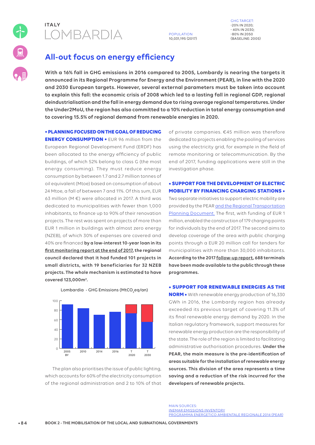

# LOMBARDIA **ITALY**

### POPULATION 10,031,195 (2017)

GHG TARGET: -20% IN 2020; - 40% IN 2030; -80% IN 2050 (BASELINE: 2005)

# **All-out focus on energy efficiency**

**With a 16% fall in GHG emissions in 2016 compared to 2005, Lombardy is nearing the targets it announced in its Regional Programme for Energy and the Environment (PEAR), in line with the 2020 and 2030 European targets. However, several external parameters must be taken into account to explain this fall: the economic crisis of 2008 which led to a lasting fall in regional GDP, regional deindustrialisation and the fall in energy demand due to rising average regional temperatures. Under the Under2MoU, the region has also committed to a 10% reduction in total energy consumption and to covering 15.5% of regional demand from renewable energies in 2020.** 

### **• PLANNING FOCUSED ON THE GOAL OF REDUCING**

**ENERGY CONSUMPTION •** EUR 96 million from the European Regional Development Fund (ERDF) has been allocated to the energy efficiency of public buildings, of which 52% belong to class G (the most energy consuming). They must reduce energy consumption by between 1.7 and 2.7 million tonnes of oil equivalent (Mtoe) based on consumption of about 24 Mtoe, a fall of between 7 and 11%. Of this sum, EUR 63 million (M €) were allocated in 2017. A third was dedicated to municipalities with fewer than 1,000 inhabitants, to finance up to 90% of their renovation projects. The rest was spent on projects of more than EUR 1 million in buildings with almost zero energy (NZEB), of which 30% of expenses are covered and 40% are financed **by a low-interest 10-year loan in its first monitoring report at the end of 2017, the regional council declared that it had funded 101 projects in small districts, with 19 beneficiaries for 32 NZEB projects. The whole mechanism is estimated to have covered 123,000m².**

2005 **BY** 2010 2014 2016 2020 T T 2030  $\overline{c}$  $20$  $4<sup>c</sup>$ 60 80  $100$ 

Lombardia - GHG Emissions (MtCO<sub>2</sub>eq/an)

The plan also prioritises the issue of public lighting, which accounts for 60% of the electricity consumption of the regional administration and 2 to 10% of that

of private companies. €45 million was therefore dedicated to projects enabling the pooling of services using the electricity grid, for example in the field of remote monitoring or telecommunication. By the end of 2017, funding applications were still in the investigation phase.

### **• SUPPORT FOR THE DEVELOPMENT OF ELECTRIC MOBILITY BY FINANCING CHARGING STATIONS •**

Two separate initiatives to support electric mobility are provided by the PEAR and the Regional Transportation Planning Document. The first, with funding of EUR 1 million, enabled the construction of 179 charging points for individuals by the end of 2017. The second aims to develop coverage of the area with public charging points through a EUR 20 million call for tenders for municipalities with more than 30,000 inhabitants. **According to the 2017 follow-up report, 688 terminals have been made available to the public through these programmes.** 

### **• SUPPORT FOR RENEWABLE ENERGIES AS THE**

**NORM •** With renewable energy production of 16,330 GWh in 2016, the Lombardy region has already exceeded its previous target of covering 11.3% of its final renewable energy demand by 2020. In the Italian regulatory framework, support measures for renewable energy production are the responsibility of the state. The role of the region is limited to facilitating administrative authorisation procedures. **Under the PEAR, the main measure is the pre-identification of areas suitable for the installation of renewable energy sources. This division of the area represents a time saving and a reduction of the risk incurred for the developers of renewable projects.**

MAIN SOURCES: INEMAR EMISSIONS INVENTORY PROGRAMMA ENERGETICO AMBIENTALE REGIONALE 2014 (PEAR)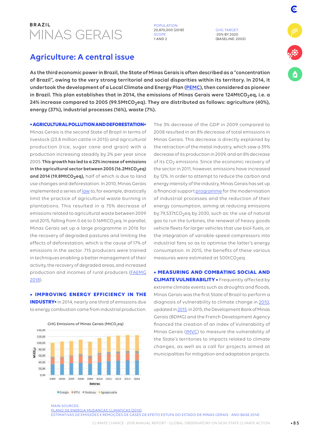# BRAZIL<br>MINAS GERAIS

**B R A POPULATION** 20,870,000 (2018) SCOPE 1 AND 2

GHG TARGET: -20% BY 2020 (BASELINE: 2005)

F

# **Agriculture: A central issue**

**As the third economic power in Brazil, the State of Minas Gerais is often described as a "concentration of Brazil", owing to the very strong territorial and social disparities within its territory. In 2014, it undertook the development of a Local Climate and Energy Plan (PEMC), then considered as pioneer in Brazil. This plan establishes that in 2014, the emissions of Minas Gerais were 124MtCO2eq, i.e. a 24% increase compared to 2005 (99.5MtCO2eq). They are distributed as follows: agriculture (40%), energy (37%), industrial processes (16%), waste (7%).**

**• AGRICULTURAL POLLUTION AND DEFORESTATION•**

Minas Gerais is the second State of Brazil in terms of livestock (23.8 million cattle in 2015) and agricultural production (rice, sugar cane and grain) with a production increasing steadily by 2% per year since 2005. **This growth has led to a 22% increase of emissions**  in the agricultural sector between 2005 (16.2MtCO<sub>2</sub>eq) and 2014 (19.8MtCO<sub>2</sub>eq), half of which is due to land use changes and deforestation. In 2010, Minas Gerais implemented a series of <u>law</u> to, for example, drastically limit the practice of agricultural waste burning in plantations. This resulted in a 75% decrease of emissions related to agricultural waste between 2009 and 2015, falling from 0.66 to 0.16MtCO<sub>2</sub>eq. In parallel, Minas Gerais set up a large programme in 2016 for the recovery of degraded pastures and limiting the effects of deforestation, which is the cause of 17% of emissions in the sector. 715 producers were trained in techniques enabling a better management of their activity, the recovery of degraded areas, and increased production and incomes of rural producers (FAEMG 2018).

**• IMPROVING ENERGY EFFICIENCY IN THE INDUSTRY•** In 2014, nearly one third of emissions due to energy combustion came from industrial production.



The 3% decrease of the GDP in 2009 compared to 2008 resulted in an 8% decrease of total emissions in Minas Gerais. This decrease is directly explained by the retraction of the metal industry, which saw a 39% decrease of its production in 2009, and an 8% decrease of its CO<sub>2</sub> emissions. Since the economic recovery of the sector in 2011, however, emissions have increased by 12%. In order to attempt to reduce the carbon and energy intensity of the industry, Minas Gerais has set up a financial support *programme* for the modernisation of industrial processes and the reduction of their energy consumption, aiming at reducing emissions by 79,537tCO<sub>2</sub>eq by 2030, such as: the use of natural gas to run the turbines, the renewal of heavy goods vehicle fleets for larger vehicles that use biol-fuels, or the integration of variable-speed compressors into industrial fans so as to optimise the latter's energy consumption. In 2015, the benefits of these various measures were estimated at  $500$ t $CO<sub>2</sub>$ eq.

**• MEASURING AND COMBATING SOCIAL AND CLIMATE VULNERABILITY •** Frequently affected by extreme climate events such as droughts and floods, Minas Gerais was the first State of Brazil to perform a diagnosis of vulnerability to climate change in 2010, updated in 2015. In 2015, the Development Bank of Minas Gerais (BDMG) and the French Development Agency financed the creation of an index of Vulnerability of Minas Gerais (IMVC) to measure the vulnerability of the State's territories to impacts related to climate changes, as well as a call for projects aimed at municipalities for mitigation and adaptation projects.

MAIN SOURCES: PLANO DE ENERGIA MUDANCAS CLIMATICAS (2015) ESTIMATIVAS DE EMISSÕES E REMOÇÕES DE GASES DE EFEITO ESTUFA DO ESTADO DE MINAS GERAIS - ANO BASE 2014)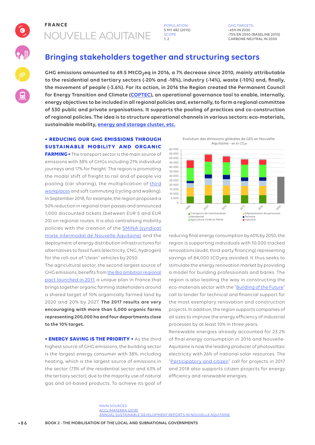# NOUVELLE AQUITAINE **FRANCE** POPULATION

Q

5 911 482 (2015) SCOPE  $1<sub>2</sub>$ 

GHG TARGETS: -45% IN 2030 -75% EN 2050 (BASELINE 2010) CARBONE NEUTRAL IN 2050

# **Bringing stakeholders together and structuring sectors**

**GHG emissions amounted to 49.5 MtCO2eq in 2016, a 7% decrease since 2010, mainly attributable to the residential and tertiary sectors (-20% and -18%), industry (-14%), waste (-10%) and, finally, the movement of people (-3.6%). For its action, in 2016 the Region created the Permanent Council for Energy Transition and Climate (COPTEC), an operational governance tool to enable, internally, energy objectives to be included in all regional policies and, externally, to form a regional committee of 530 public and private organisations. It supports the pooling of practices and co-construction of regional policies. The idea is to structure operational channels in various sectors: eco-materials, sustainable mobility, energy and storage cluster, etc.**

### **• REDUCING OUR GHG EMISSIONS THROUGH SUSTAINABLE MOBILITY AND ORGANIC**

**FARMING •** The transport sector is the main source of emissions with 38% of GHGs including 21% individual journeys and 17% for freight. The region is promoting the modal shift of freight to rail and of people via pooling (car sharing), the multiplication of third workplaces and soft commuting (cycling and walking). In September 2018, for example, the region proposed a 50% reduction in regional train passes and announced 1,000 discounted tickets (between EUR 5 and EUR 20) on regional routes. It is also centralising mobility policies with the creation of the **SMINA** (syndicat mixte intermodal de Nouvelle Aquitaine) and the deployment of energy distribution infrastructures for alternatives to fossil fuels (electricity, CNG, hydrogen) for the roll-out of "clean" vehicles by 2050.

The agricultural sector, the second largest source of GHG emissions, benefits from the Bio ambition regional pact launched in 2017, a unique plan in France that brings together organic farming stakeholders around a shared target of 10% organically farmed land by 2020 and 20% by 2027. **The 2017 results are very encouraging with more than 5,000 organic farms representing 200,000 ha and four departments close to the 10% target.** 

**• ENERGY SAVING IS THE PRIORITY •** As the third highest source of GHG emissions, the building sector is the largest energy consumer with 38%, including heating, which is the largest source of emissions in the sector (73% of the residential sector and 63% of the tertiary sector), due to the majority use of natural gas and oil-based products. To achieve its goal of

Evolution des émissions globales de GES en Nouvelle-Aquitaine - en kt CO<sub>2</sub>e



reducing final energy consumption by 60% by 2050, the region is supporting individuals with 10,000 tracked renovations (audit, third-party financing) representing savings of 84,000 tCO<sub>2</sub>eq avoided. It thus seeks to stimulate the energy renovation market by providing a model for building professionals and banks. The region is also leading the way in constructing the eco-materials sector with the "Building of the Future" call to tender for technical and financial support for the most exemplary renovation and construction projects. In addition, the region supports companies of all sizes to improve the energy efficiency of industrial processes by at least 10% in three years.

Renewable energies already accounted for 23.2% of final energy consumption in 2016 and Nouvelle-Aquitaine is now the leading producer of photovoltaic electricity with 26% of national solar resources. The "Participatory and citizen" call for projects in 2017 and 2018 also supports citizen projects for energy efficiency and renewable energies.